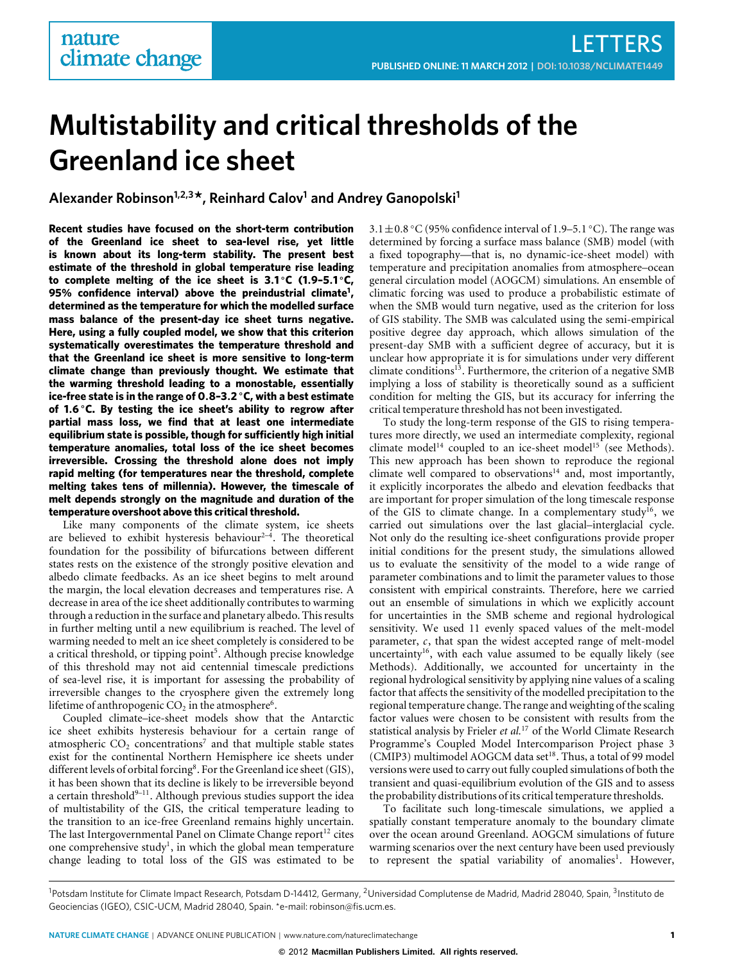# **Multistability and critical thresholds of the Greenland ice sheet**

**Alexander Robinson1,2,3\*, Reinhard Calov<sup>1</sup> and Andrey Ganopolski<sup>1</sup>**

**Recent studies have focused on the short-term contribution of the Greenland ice sheet to sea-level rise, yet little is known about its long-term stability. The present best estimate of the threshold in global temperature rise leading to complete melting of the ice sheet is 3**.**1** ◦**C (1**.**9–5**.**1** ◦**C, 95% confidence interval) above the preindustrial climate[1](#page-3-0) , determined as the temperature for which the modelled surface mass balance of the present-day ice sheet turns negative. Here, using a fully coupled model, we show that this criterion systematically overestimates the temperature threshold and that the Greenland ice sheet is more sensitive to long-term climate change than previously thought. We estimate that the warming threshold leading to a monostable, essentially ice-free state is in the range of 0**.**8–3**.**2** ◦**C, with a best estimate of 1**.**6** ◦**C. By testing the ice sheet's ability to regrow after partial mass loss, we find that at least one intermediate equilibrium state is possible, though for sufficiently high initial temperature anomalies, total loss of the ice sheet becomes irreversible. Crossing the threshold alone does not imply rapid melting (for temperatures near the threshold, complete melting takes tens of millennia). However, the timescale of melt depends strongly on the magnitude and duration of the temperature overshoot above this critical threshold.**

Like many components of the climate system, ice sheets are believed to exhibit hysteresis behaviour<sup>[2](#page-3-1)-4</sup>. The theoretical foundation for the possibility of bifurcations between different states rests on the existence of the strongly positive elevation and albedo climate feedbacks. As an ice sheet begins to melt around the margin, the local elevation decreases and temperatures rise. A decrease in area of the ice sheet additionally contributes to warming through a reduction in the surface and planetary albedo. This results in further melting until a new equilibrium is reached. The level of warming needed to melt an ice sheet completely is considered to be a critical threshold, or tipping point<sup>[5](#page-3-3)</sup>. Although precise knowledge of this threshold may not aid centennial timescale predictions of sea-level rise, it is important for assessing the probability of irreversible changes to the cryosphere given the extremely long lifetime of anthropogenic  $CO<sub>2</sub>$  in the atmosphere<sup>[6](#page-3-4)</sup>.

Coupled climate–ice-sheet models show that the Antarctic ice sheet exhibits hysteresis behaviour for a certain range of atmospheric  $CO<sub>2</sub>$  concentrations<sup>[7](#page-3-5)</sup> and that multiple stable states exist for the continental Northern Hemisphere ice sheets under different levels of orbital forcing<sup>[8](#page-3-6)</sup>. For the Greenland ice sheet (GIS), it has been shown that its decline is likely to be irreversible beyond a certain threshold<sup>9-[11](#page-3-8)</sup>. Although previous studies support the idea of multistability of the GIS, the critical temperature leading to the transition to an ice-free Greenland remains highly uncertain. The last Intergovernmental Panel on Climate Change  $report<sup>12</sup>$  $report<sup>12</sup>$  $report<sup>12</sup>$  cites one comprehensive study<sup>[1](#page-3-0)</sup>, in which the global mean temperature change leading to total loss of the GIS was estimated to be

3.1  $\pm$  0.8 °C (95% confidence interval of 1.9–5.1 °C). The range was determined by forcing a surface mass balance (SMB) model (with a fixed topography—that is, no dynamic-ice-sheet model) with temperature and precipitation anomalies from atmosphere–ocean general circulation model (AOGCM) simulations. An ensemble of climatic forcing was used to produce a probabilistic estimate of when the SMB would turn negative, used as the criterion for loss of GIS stability. The SMB was calculated using the semi-empirical positive degree day approach, which allows simulation of the present-day SMB with a sufficient degree of accuracy, but it is unclear how appropriate it is for simulations under very different climate conditions<sup>[13](#page-3-10)</sup>. Furthermore, the criterion of a negative SMB implying a loss of stability is theoretically sound as a sufficient condition for melting the GIS, but its accuracy for inferring the critical temperature threshold has not been investigated.

To study the long-term response of the GIS to rising temperatures more directly, we used an intermediate complexity, regional climate model<sup>[14](#page-3-11)</sup> coupled to an ice-sheet model<sup>[15](#page-3-12)</sup> (see Methods). This new approach has been shown to reproduce the regional climate well compared to observations<sup>[14](#page-3-11)</sup> and, most importantly, it explicitly incorporates the albedo and elevation feedbacks that are important for proper simulation of the long timescale response of the GIS to climate change. In a complementary study<sup>[16](#page-3-13)</sup>, we carried out simulations over the last glacial–interglacial cycle. Not only do the resulting ice-sheet configurations provide proper initial conditions for the present study, the simulations allowed us to evaluate the sensitivity of the model to a wide range of parameter combinations and to limit the parameter values to those consistent with empirical constraints. Therefore, here we carried out an ensemble of simulations in which we explicitly account for uncertainties in the SMB scheme and regional hydrological sensitivity. We used 11 evenly spaced values of the melt-model parameter, *c*, that span the widest accepted range of melt-model uncertainty<sup>[16](#page-3-13)</sup>, with each value assumed to be equally likely (see Methods). Additionally, we accounted for uncertainty in the regional hydrological sensitivity by applying nine values of a scaling factor that affects the sensitivity of the modelled precipitation to the regional temperature change. The range and weighting of the scaling factor values were chosen to be consistent with results from the statistical analysis by Frieler *et al.*[17](#page-3-14) of the World Climate Research Programme's Coupled Model Intercomparison Project phase 3 (CMIP3) multimodel AOGCM data set $^{18}$  $^{18}$  $^{18}$ . Thus, a total of 99 model versions were used to carry out fully coupled simulations of both the transient and quasi-equilibrium evolution of the GIS and to assess the probability distributions of its critical temperature thresholds.

To facilitate such long-timescale simulations, we applied a spatially constant temperature anomaly to the boundary climate over the ocean around Greenland. AOGCM simulations of future warming scenarios over the next century have been used previously to represent the spatial variability of anomalies<sup>[1](#page-3-0)</sup>. However,

<sup>&</sup>lt;sup>1</sup>Potsdam Institute for Climate Impact Research, Potsdam D-14412, Germany, <sup>2</sup>Universidad Complutense de Madrid, Madrid 28040, Spain, <sup>3</sup>Instituto de Geociencias (IGEO), CSIC-UCM, Madrid 28040, Spain. \*e-mail[: robinson@fis.ucm.es.](mailto:robinson@fis.ucm.es)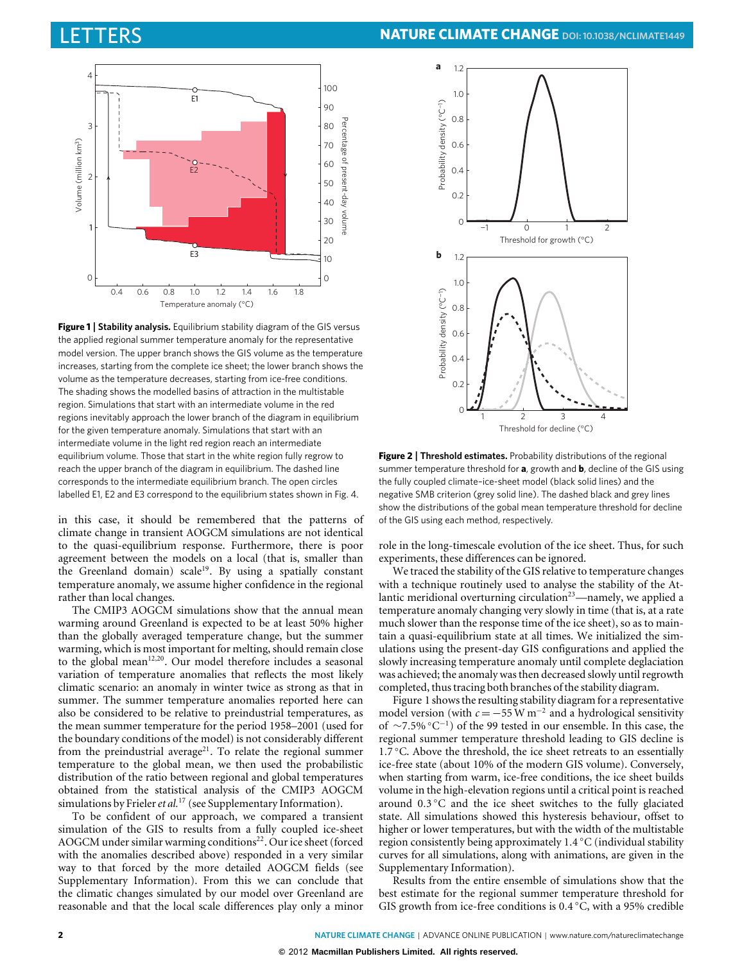

<span id="page-1-0"></span>**Figure 1** | **Stability analysis.** Equilibrium stability diagram of the GIS versus the applied regional summer temperature anomaly for the representative model version. The upper branch shows the GIS volume as the temperature increases, starting from the complete ice sheet; the lower branch shows the volume as the temperature decreases, starting from ice-free conditions. The shading shows the modelled basins of attraction in the multistable region. Simulations that start with an intermediate volume in the red regions inevitably approach the lower branch of the diagram in equilibrium for the given temperature anomaly. Simulations that start with an intermediate volume in the light red region reach an intermediate equilibrium volume. Those that start in the white region fully regrow to reach the upper branch of the diagram in equilibrium. The dashed line corresponds to the intermediate equilibrium branch. The open circles labelled E1, E2 and E3 correspond to the equilibrium states shown in Fig. 4.

in this case, it should be remembered that the patterns of climate change in transient AOGCM simulations are not identical to the quasi-equilibrium response. Furthermore, there is poor agreement between the models on a local (that is, smaller than the Greenland domain) scale<sup>[19](#page-3-16)</sup>. By using a spatially constant temperature anomaly, we assume higher confidence in the regional rather than local changes.

The CMIP3 AOGCM simulations show that the annual mean warming around Greenland is expected to be at least 50% higher than the globally averaged temperature change, but the summer warming, which is most important for melting, should remain close to the global mean<sup>[12](#page-3-9)[,20](#page-3-17)</sup>. Our model therefore includes a seasonal variation of temperature anomalies that reflects the most likely climatic scenario: an anomaly in winter twice as strong as that in summer. The summer temperature anomalies reported here can also be considered to be relative to preindustrial temperatures, as the mean summer temperature for the period 1958–2001 (used for the boundary conditions of the model) is not considerably different from the preindustrial average $21$ . To relate the regional summer temperature to the global mean, we then used the probabilistic distribution of the ratio between regional and global temperatures obtained from the statistical analysis of the CMIP3 AOGCM simulations by Frieler*et al.*[17](#page-3-14) (see Supplementary Information).

To be confident of our approach, we compared a transient simulation of the GIS to results from a fully coupled ice-sheet AOGCM under similar warming conditions<sup>[22](#page-3-19)</sup>. Our ice sheet (forced with the anomalies described above) responded in a very similar way to that forced by the more detailed AOGCM fields (see Supplementary Information). From this we can conclude that the climatic changes simulated by our model over Greenland are reasonable and that the local scale differences play only a minor



<span id="page-1-1"></span>**Figure 2** | **Threshold estimates.** Probability distributions of the regional summer temperature threshold for **a**, growth and **b**, decline of the GIS using the fully coupled climate–ice-sheet model (black solid lines) and the negative SMB criterion (grey solid line). The dashed black and grey lines show the distributions of the gobal mean temperature threshold for decline of the GIS using each method, respectively.

role in the long-timescale evolution of the ice sheet. Thus, for such experiments, these differences can be ignored.

We traced the stability of the GIS relative to temperature changes with a technique routinely used to analyse the stability of the Atlantic meridional overturning circulation $23$ —namely, we applied a temperature anomaly changing very slowly in time (that is, at a rate much slower than the response time of the ice sheet), so as to maintain a quasi-equilibrium state at all times. We initialized the simulations using the present-day GIS configurations and applied the slowly increasing temperature anomaly until complete deglaciation was achieved; the anomaly was then decreased slowly until regrowth completed, thus tracing both branches of the stability diagram.

[Figure 1 s](#page-1-0)hows the resulting stability diagram for a representative model version (with  $c = -55$  W m<sup>-2</sup> and a hydrological sensitivity of ∼7.5% ◦C −1 ) of the 99 tested in our ensemble. In this case, the regional summer temperature threshold leading to GIS decline is 1.7 ◦C. Above the threshold, the ice sheet retreats to an essentially ice-free state (about 10% of the modern GIS volume). Conversely, when starting from warm, ice-free conditions, the ice sheet builds volume in the high-elevation regions until a critical point is reached around 0.3 ◦C and the ice sheet switches to the fully glaciated state. All simulations showed this hysteresis behaviour, offset to higher or lower temperatures, but with the width of the multistable region consistently being approximately 1.4 ◦C (individual stability curves for all simulations, along with animations, are given in the Supplementary Information).

Results from the entire ensemble of simulations show that the best estimate for the regional summer temperature threshold for GIS growth from ice-free conditions is 0.4 °C, with a 95% credible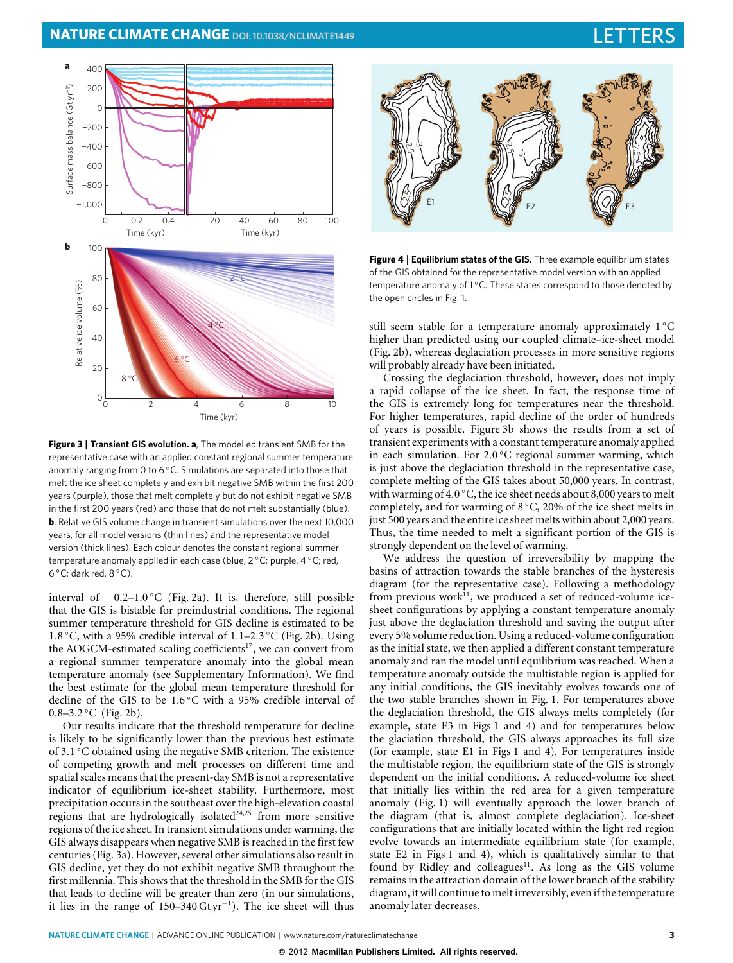# **NATURE CLIMATE CHANGE** DOI[: 10.1038/NCLIMATE1449](http://www.nature.com/doifinder/10.1038/nclimate1449)



<span id="page-2-0"></span>**Figure 3** | **Transient GIS evolution. a**, The modelled transient SMB for the representative case with an applied constant regional summer temperature anomaly ranging from 0 to 6 °C. Simulations are separated into those that melt the ice sheet completely and exhibit negative SMB within the first 200 years (purple), those that melt completely but do not exhibit negative SMB in the first 200 years (red) and those that do not melt substantially (blue). **b**, Relative GIS volume change in transient simulations over the next 10,000 years, for all model versions (thin lines) and the representative model version (thick lines). Each colour denotes the constant regional summer temperature anomaly applied in each case (blue, 2 °C; purple, 4 °C; red, 6 ◦C; dark red, 8 ◦C).

interval of −0.2–1.0 ◦C [\(Fig. 2a](#page-1-1)). It is, therefore, still possible that the GIS is bistable for preindustrial conditions. The regional summer temperature threshold for GIS decline is estimated to be 1.8 ◦C, with a 95% credible interval of 1.1–2.3 ◦C [\(Fig. 2b](#page-1-1)). Using the AOGCM-estimated scaling coefficients<sup>[17](#page-3-14)</sup>, we can convert from a regional summer temperature anomaly into the global mean temperature anomaly (see Supplementary Information). We find the best estimate for the global mean temperature threshold for decline of the GIS to be 1.6 ◦C with a 95% credible interval of 0.8-3.2 °C [\(Fig. 2b](#page-1-1)).

Our results indicate that the threshold temperature for decline is likely to be significantly lower than the previous best estimate of 3.1 ◦C obtained using the negative SMB criterion. The existence of competing growth and melt processes on different time and spatial scales means that the present-day SMB is not a representative indicator of equilibrium ice-sheet stability. Furthermore, most precipitation occurs in the southeast over the high-elevation coastal regions that are hydrologically isolated $24,25$  $24,25$  from more sensitive regions of the ice sheet. In transient simulations under warming, the GIS always disappears when negative SMB is reached in the first few centuries [\(Fig. 3a](#page-2-0)). However, several other simulations also result in GIS decline, yet they do not exhibit negative SMB throughout the first millennia. This shows that the threshold in the SMB for the GIS that leads to decline will be greater than zero (in our simulations, it lies in the range of  $150-340 \,\text{Gt yr}^{-1}$ ). The ice sheet will thus



**Figure 4** | **Equilibrium states of the GIS.** Three example equilibrium states of the GIS obtained for the representative model version with an applied temperature anomaly of 1℃. These states correspond to those denoted by the open circles in Fig. 1.

<span id="page-2-1"></span>still seem stable for a temperature anomaly approximately 1 °C higher than predicted using our coupled climate–ice-sheet model [\(Fig. 2b](#page-1-1)), whereas deglaciation processes in more sensitive regions will probably already have been initiated.

Crossing the deglaciation threshold, however, does not imply a rapid collapse of the ice sheet. In fact, the response time of the GIS is extremely long for temperatures near the threshold. For higher temperatures, rapid decline of the order of hundreds of years is possible. [Figure 3b](#page-2-0) shows the results from a set of transient experiments with a constant temperature anomaly applied in each simulation. For 2.0 °C regional summer warming, which is just above the deglaciation threshold in the representative case, complete melting of the GIS takes about 50,000 years. In contrast, with warming of 4.0 °C, the ice sheet needs about 8,000 years to melt completely, and for warming of 8 ◦C, 20% of the ice sheet melts in just 500 years and the entire ice sheet melts within about 2,000 years. Thus, the time needed to melt a significant portion of the GIS is strongly dependent on the level of warming.

We address the question of irreversibility by mapping the basins of attraction towards the stable branches of the hysteresis diagram (for the representative case). Following a methodology from previous work $11$ , we produced a set of reduced-volume icesheet configurations by applying a constant temperature anomaly just above the deglaciation threshold and saving the output after every 5% volume reduction. Using a reduced-volume configuration as the initial state, we then applied a different constant temperature anomaly and ran the model until equilibrium was reached. When a temperature anomaly outside the multistable region is applied for any initial conditions, the GIS inevitably evolves towards one of the two stable branches shown in [Fig. 1.](#page-1-0) For temperatures above the deglaciation threshold, the GIS always melts completely (for example, state E3 in [Figs 1](#page-1-0) and [4\)](#page-2-1) and for temperatures below the glaciation threshold, the GIS always approaches its full size (for example, state E1 in [Figs 1](#page-1-0) and [4\)](#page-2-1). For temperatures inside the multistable region, the equilibrium state of the GIS is strongly dependent on the initial conditions. A reduced-volume ice sheet that initially lies within the red area for a given temperature anomaly [\(Fig. 1\)](#page-1-0) will eventually approach the lower branch of the diagram (that is, almost complete deglaciation). Ice-sheet configurations that are initially located within the light red region evolve towards an intermediate equilibrium state (for example, state E2 in [Figs 1](#page-1-0) and [4\)](#page-2-1), which is qualitatively similar to that found by Ridley and colleagues $11$ . As long as the GIS volume remains in the attraction domain of the lower branch of the stability diagram, it will continue to melt irreversibly, even if the temperature anomaly later decreases.